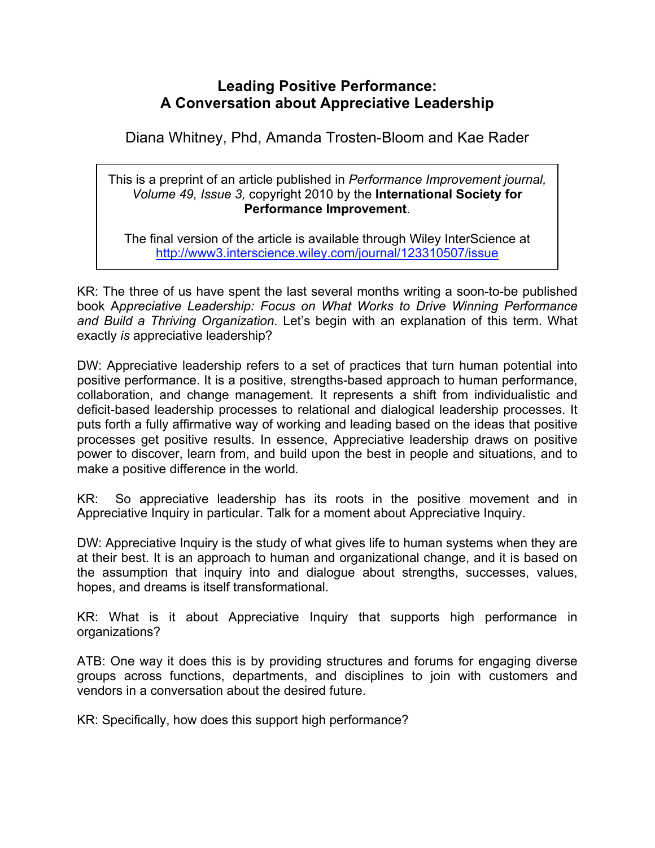## **Leading Positive Performance: A Conversation about Appreciative Leadership**

Diana Whitney, Phd, Amanda Trosten-Bloom and Kae Rader

This is a preprint of an article published in *Performance Improvement journal, Volume 49, Issue 3,* copyright 2010 by the **International Society for Performance Improvement**.

The final version of the article is available through Wiley InterScience at http://www3.interscience.wiley.com/journal/123310507/issue

KR: The three of us have spent the last several months writing a soon-to-be published book A*ppreciative Leadership: Focus on What Works to Drive Winning Performance and Build a Thriving Organization*. Let's begin with an explanation of this term. What exactly *is* appreciative leadership?

DW: Appreciative leadership refers to a set of practices that turn human potential into positive performance. It is a positive, strengths-based approach to human performance, collaboration, and change management. It represents a shift from individualistic and deficit-based leadership processes to relational and dialogical leadership processes. It puts forth a fully affirmative way of working and leading based on the ideas that positive processes get positive results. In essence, Appreciative leadership draws on positive power to discover, learn from, and build upon the best in people and situations, and to make a positive difference in the world*.*

KR: So appreciative leadership has its roots in the positive movement and in Appreciative Inquiry in particular. Talk for a moment about Appreciative Inquiry.

DW: Appreciative Inquiry is the study of what gives life to human systems when they are at their best. It is an approach to human and organizational change, and it is based on the assumption that inquiry into and dialogue about strengths, successes, values, hopes, and dreams is itself transformational.

KR: What is it about Appreciative Inquiry that supports high performance in organizations?

ATB: One way it does this is by providing structures and forums for engaging diverse groups across functions, departments, and disciplines to join with customers and vendors in a conversation about the desired future.

KR: Specifically, how does this support high performance?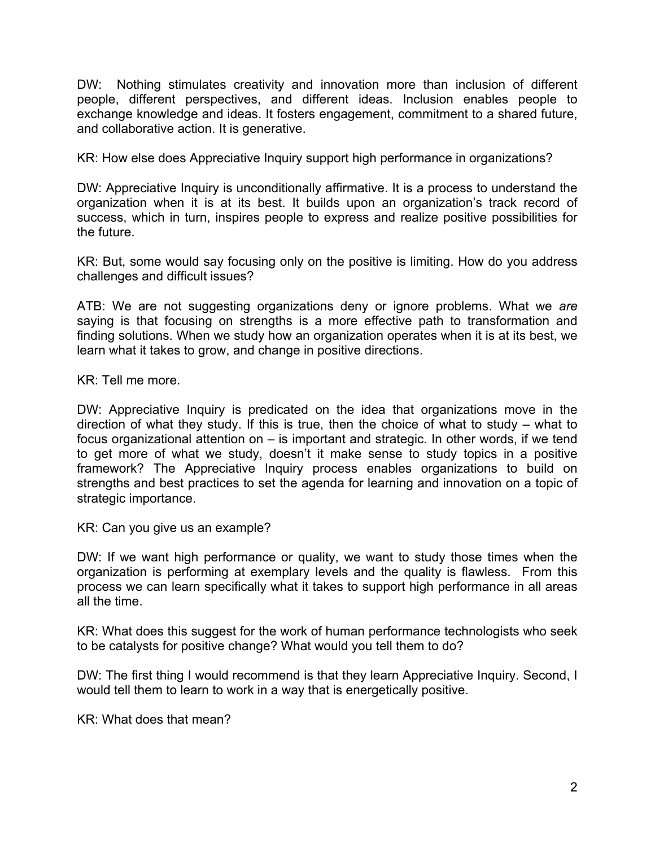DW: Nothing stimulates creativity and innovation more than inclusion of different people, different perspectives, and different ideas. Inclusion enables people to exchange knowledge and ideas. It fosters engagement, commitment to a shared future, and collaborative action. It is generative.

KR: How else does Appreciative Inquiry support high performance in organizations?

DW: Appreciative Inquiry is unconditionally affirmative. It is a process to understand the organization when it is at its best. It builds upon an organization's track record of success, which in turn, inspires people to express and realize positive possibilities for the future.

KR: But, some would say focusing only on the positive is limiting. How do you address challenges and difficult issues?

ATB: We are not suggesting organizations deny or ignore problems. What we *are*  saying is that focusing on strengths is a more effective path to transformation and finding solutions. When we study how an organization operates when it is at its best, we learn what it takes to grow, and change in positive directions.

KR: Tell me more.

DW: Appreciative Inquiry is predicated on the idea that organizations move in the direction of what they study. If this is true, then the choice of what to study – what to focus organizational attention on – is important and strategic. In other words, if we tend to get more of what we study, doesn't it make sense to study topics in a positive framework? The Appreciative Inquiry process enables organizations to build on strengths and best practices to set the agenda for learning and innovation on a topic of strategic importance.

KR: Can you give us an example?

DW: If we want high performance or quality, we want to study those times when the organization is performing at exemplary levels and the quality is flawless. From this process we can learn specifically what it takes to support high performance in all areas all the time.

KR: What does this suggest for the work of human performance technologists who seek to be catalysts for positive change? What would you tell them to do?

DW: The first thing I would recommend is that they learn Appreciative Inquiry. Second, I would tell them to learn to work in a way that is energetically positive.

KR: What does that mean?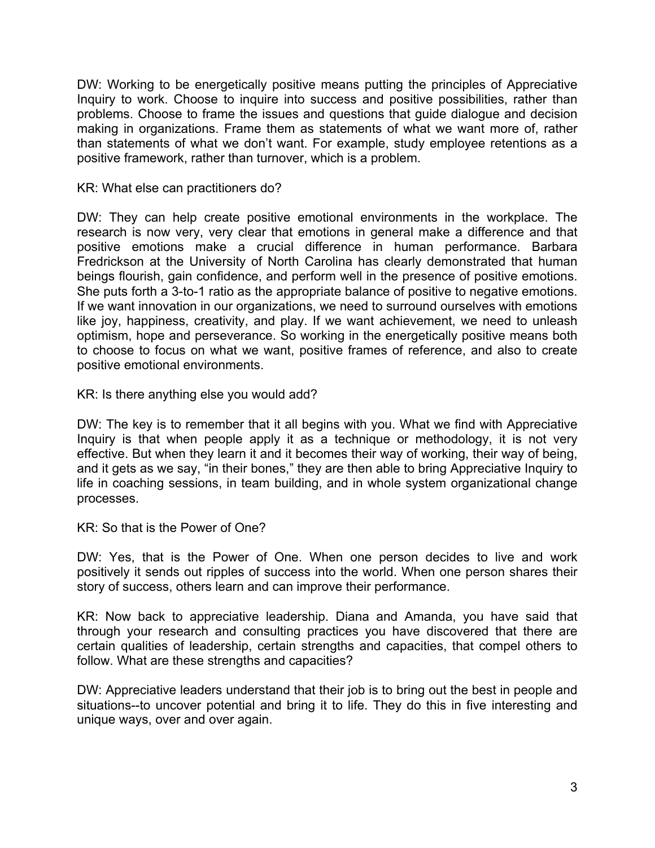DW: Working to be energetically positive means putting the principles of Appreciative Inquiry to work. Choose to inquire into success and positive possibilities, rather than problems. Choose to frame the issues and questions that guide dialogue and decision making in organizations. Frame them as statements of what we want more of, rather than statements of what we don't want. For example, study employee retentions as a positive framework, rather than turnover, which is a problem.

KR: What else can practitioners do?

DW: They can help create positive emotional environments in the workplace. The research is now very, very clear that emotions in general make a difference and that positive emotions make a crucial difference in human performance. Barbara Fredrickson at the University of North Carolina has clearly demonstrated that human beings flourish, gain confidence, and perform well in the presence of positive emotions. She puts forth a 3-to-1 ratio as the appropriate balance of positive to negative emotions. If we want innovation in our organizations, we need to surround ourselves with emotions like joy, happiness, creativity, and play. If we want achievement, we need to unleash optimism, hope and perseverance. So working in the energetically positive means both to choose to focus on what we want, positive frames of reference, and also to create positive emotional environments.

KR: Is there anything else you would add?

DW: The key is to remember that it all begins with you. What we find with Appreciative Inquiry is that when people apply it as a technique or methodology, it is not very effective. But when they learn it and it becomes their way of working, their way of being, and it gets as we say, "in their bones," they are then able to bring Appreciative Inquiry to life in coaching sessions, in team building, and in whole system organizational change processes.

KR: So that is the Power of One?

DW: Yes, that is the Power of One. When one person decides to live and work positively it sends out ripples of success into the world. When one person shares their story of success, others learn and can improve their performance.

KR: Now back to appreciative leadership. Diana and Amanda, you have said that through your research and consulting practices you have discovered that there are certain qualities of leadership, certain strengths and capacities, that compel others to follow. What are these strengths and capacities?

DW: Appreciative leaders understand that their job is to bring out the best in people and situations--to uncover potential and bring it to life. They do this in five interesting and unique ways, over and over again.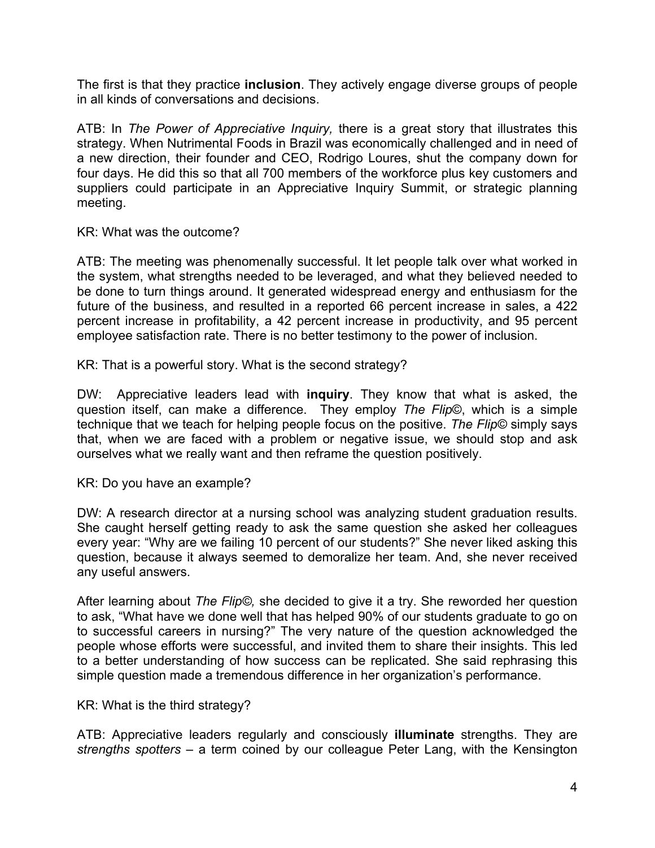The first is that they practice **inclusion**. They actively engage diverse groups of people in all kinds of conversations and decisions.

ATB: In *The Power of Appreciative Inquiry,* there is a great story that illustrates this strategy. When Nutrimental Foods in Brazil was economically challenged and in need of a new direction, their founder and CEO, Rodrigo Loures, shut the company down for four days. He did this so that all 700 members of the workforce plus key customers and suppliers could participate in an Appreciative Inquiry Summit, or strategic planning meeting.

KR: What was the outcome?

ATB: The meeting was phenomenally successful. It let people talk over what worked in the system, what strengths needed to be leveraged, and what they believed needed to be done to turn things around. It generated widespread energy and enthusiasm for the future of the business, and resulted in a reported 66 percent increase in sales, a 422 percent increase in profitability, a 42 percent increase in productivity, and 95 percent employee satisfaction rate. There is no better testimony to the power of inclusion.

KR: That is a powerful story. What is the second strategy?

DW: Appreciative leaders lead with **inquiry**. They know that what is asked, the question itself, can make a difference. They employ *The Flip*©, which is a simple technique that we teach for helping people focus on the positive. *The Flip©* simply says that, when we are faced with a problem or negative issue, we should stop and ask ourselves what we really want and then reframe the question positively.

KR: Do you have an example?

DW: A research director at a nursing school was analyzing student graduation results. She caught herself getting ready to ask the same question she asked her colleagues every year: "Why are we failing 10 percent of our students?" She never liked asking this question, because it always seemed to demoralize her team. And, she never received any useful answers.

After learning about *The Flip©,* she decided to give it a try. She reworded her question to ask, "What have we done well that has helped 90% of our students graduate to go on to successful careers in nursing?" The very nature of the question acknowledged the people whose efforts were successful, and invited them to share their insights. This led to a better understanding of how success can be replicated. She said rephrasing this simple question made a tremendous difference in her organization's performance.

KR: What is the third strategy?

ATB: Appreciative leaders regularly and consciously **illuminate** strengths. They are *strengths spotters* – a term coined by our colleague Peter Lang, with the Kensington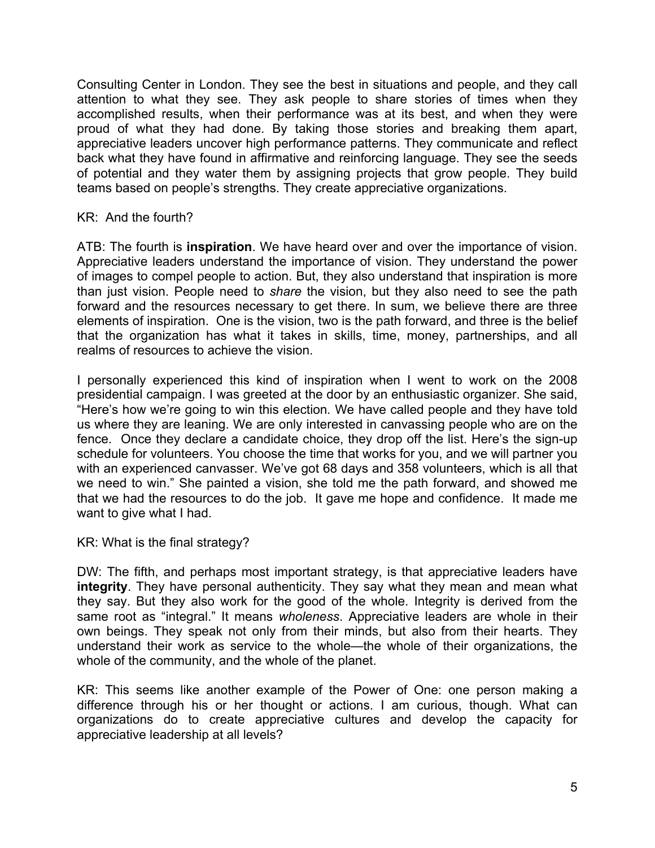Consulting Center in London. They see the best in situations and people, and they call attention to what they see. They ask people to share stories of times when they accomplished results, when their performance was at its best, and when they were proud of what they had done. By taking those stories and breaking them apart, appreciative leaders uncover high performance patterns. They communicate and reflect back what they have found in affirmative and reinforcing language. They see the seeds of potential and they water them by assigning projects that grow people. They build teams based on people's strengths. They create appreciative organizations.

## KR: And the fourth?

ATB: The fourth is **inspiration**. We have heard over and over the importance of vision. Appreciative leaders understand the importance of vision. They understand the power of images to compel people to action. But, they also understand that inspiration is more than just vision. People need to *share* the vision, but they also need to see the path forward and the resources necessary to get there. In sum, we believe there are three elements of inspiration. One is the vision, two is the path forward, and three is the belief that the organization has what it takes in skills, time, money, partnerships, and all realms of resources to achieve the vision.

I personally experienced this kind of inspiration when I went to work on the 2008 presidential campaign. I was greeted at the door by an enthusiastic organizer. She said, "Here's how we're going to win this election*.* We have called people and they have told us where they are leaning. We are only interested in canvassing people who are on the fence. Once they declare a candidate choice, they drop off the list. Here's the sign-up schedule for volunteers. You choose the time that works for you, and we will partner you with an experienced canvasser. We've got 68 days and 358 volunteers, which is all that we need to win." She painted a vision, she told me the path forward, and showed me that we had the resources to do the job. It gave me hope and confidence. It made me want to give what I had.

## KR: What is the final strategy?

DW: The fifth, and perhaps most important strategy, is that appreciative leaders have **integrity**. They have personal authenticity. They say what they mean and mean what they say. But they also work for the good of the whole. Integrity is derived from the same root as "integral." It means *wholeness*. Appreciative leaders are whole in their own beings. They speak not only from their minds, but also from their hearts. They understand their work as service to the whole—the whole of their organizations, the whole of the community, and the whole of the planet.

KR: This seems like another example of the Power of One: one person making a difference through his or her thought or actions. I am curious, though. What can organizations do to create appreciative cultures and develop the capacity for appreciative leadership at all levels?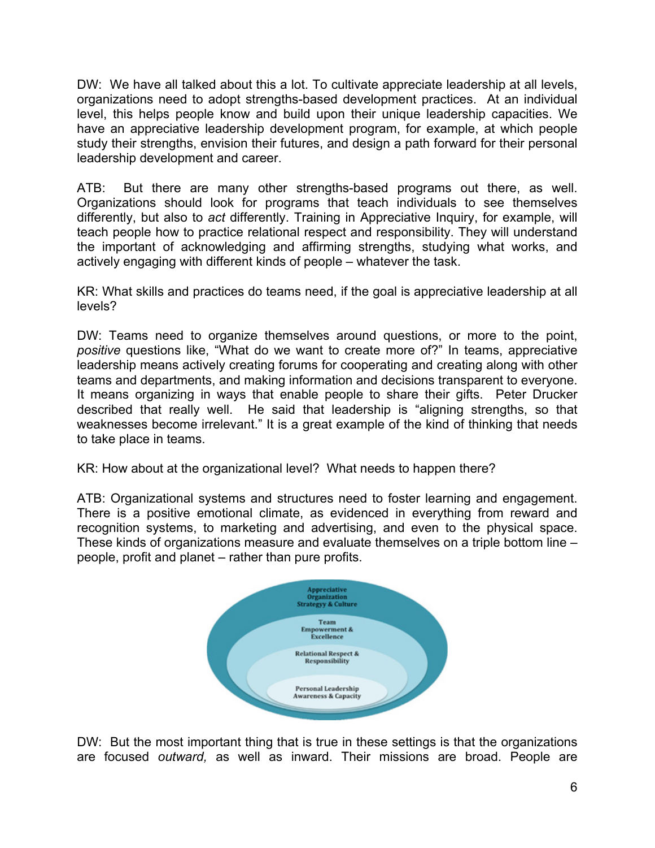DW: We have all talked about this a lot. To cultivate appreciate leadership at all levels, organizations need to adopt strengths-based development practices. At an individual level, this helps people know and build upon their unique leadership capacities. We have an appreciative leadership development program, for example, at which people study their strengths, envision their futures, and design a path forward for their personal leadership development and career.

ATB: But there are many other strengths-based programs out there, as well. Organizations should look for programs that teach individuals to see themselves differently, but also to *act* differently. Training in Appreciative Inquiry, for example, will teach people how to practice relational respect and responsibility. They will understand the important of acknowledging and affirming strengths, studying what works, and actively engaging with different kinds of people – whatever the task.

KR: What skills and practices do teams need, if the goal is appreciative leadership at all levels?

DW: Teams need to organize themselves around questions, or more to the point, *positive* questions like, "What do we want to create more of?" In teams, appreciative leadership means actively creating forums for cooperating and creating along with other teams and departments, and making information and decisions transparent to everyone. It means organizing in ways that enable people to share their gifts. Peter Drucker described that really well. He said that leadership is "aligning strengths, so that weaknesses become irrelevant." It is a great example of the kind of thinking that needs to take place in teams.

KR: How about at the organizational level? What needs to happen there?

ATB: Organizational systems and structures need to foster learning and engagement. There is a positive emotional climate, as evidenced in everything from reward and recognition systems, to marketing and advertising, and even to the physical space. These kinds of organizations measure and evaluate themselves on a triple bottom line – people, profit and planet – rather than pure profits.



DW: But the most important thing that is true in these settings is that the organizations are focused *outward,* as well as inward. Their missions are broad. People are